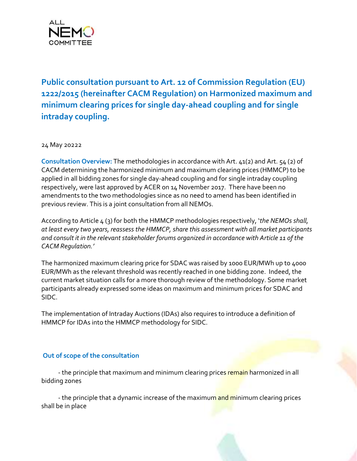

**Public consultation pursuant to Art. 12 of Commission Regulation (EU) 1222/2015 (hereinafter CACM Regulation) on Harmonized maximum and minimum clearing prices for single day-ahead coupling and for single intraday coupling.** 

24 May 20222

**Consultation Overview:** The methodologies in accordance with Art. 41(2) and Art. 54 (2) of CACM determining the harmonized minimum and maximum clearing prices (HMMCP) to be applied in all bidding zones for single day-ahead coupling and for single intraday coupling respectively, were last approved by ACER on 14 November 2017. There have been no amendments to the two methodologies since as no need to amend has been identified in previous review. This is a joint consultation from all NEMOs.

According to Article 4 (3) for both the HMMCP methodologies respectively, '*the NEMOs shall, at least every two years, reassess the HMMCP, share this assessment with all market participants and consult it in the relevant stakeholder forums organized in accordance with Article 11 of the CACM Regulation.'*

The harmonized maximum clearing price for SDAC was raised by 1000 EUR/MWh up to 4000 EUR/MWh as the relevant threshold was recently reached in one bidding zone. Indeed, the current market situation calls for a more thorough review of the methodology. Some market participants already expressed some ideas on maximum and minimum prices for SDAC and SIDC.

The implementation of Intraday Auctions (IDAs) also requires to introduce a definition of HMMCP for IDAs into the HMMCP methodology for SIDC.

## **Out of scope of the consultation**

- the principle that maximum and minimum clearing prices remain harmonized in all bidding zones

- the principle that a dynamic increase of the maximum and minimum clearing prices shall be in place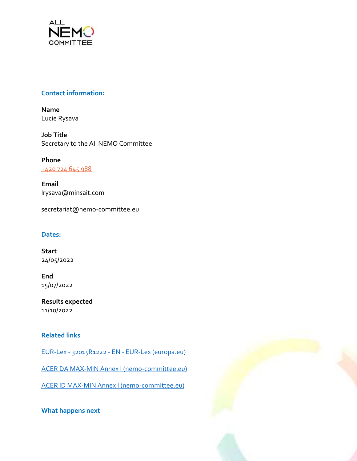

## **Contact information:**

**Name** Lucie Rysava

**Job Title** Secretary to the All NEMO Committee

**Phone** [+420 724 645 988](tel:+420%20724%20645%20988)

**Email** lrysava@minsait.com

secretariat@nemo-committee.eu

## **Dates:**

**Start** 24/05/2022

**End** 15/07/2022

**Results expected** 11/10/2022

# **Related links**

EUR-Lex - 32015R1222 - EN - [EUR-Lex \(europa.eu\)](https://eur-lex.europa.eu/legal-content/EN/TXT/?uri=CELEX:32015R1222)

[ACER DA MAX-MIN Annex I \(nemo-committee.eu\)](https://www.nemo-committee.eu/assets/files/nemo_committee_files/acer-sdac-anex.PDF)

[ACER ID MAX-MIN Annex I \(nemo-committee.eu\)](https://www.nemo-committee.eu/assets/files/nemo_committee_files/acer-sidc-anex.PDF)

**What happens next**

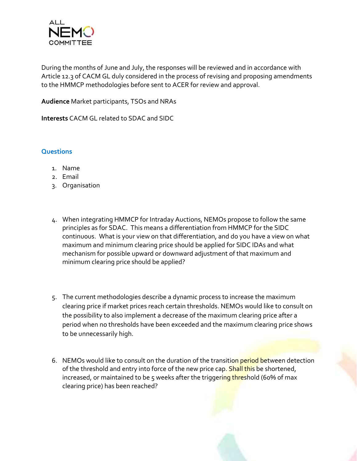

During the months of June and July, the responses will be reviewed and in accordance with Article 12.3 of CACM GL duly considered in the process of revising and proposing amendments to the HMMCP methodologies before sent to ACER for review and approval.

**Audience** Market participants, TSOs and NRAs

**Interests** CACM GL related to SDAC and SIDC

### **Questions**

- 1. Name
- 2. Email
- 3. Organisation
- 4. When integrating HMMCP for Intraday Auctions, NEMOs propose to follow the same principles as for SDAC. This means a differentiation from HMMCP for the SIDC continuous. What is your view on that differentiation, and do you have a view on what maximum and minimum clearing price should be applied for SIDC IDAs and what mechanism for possible upward or downward adjustment of that maximum and minimum clearing price should be applied?
- 5. The current methodologies describe a dynamic process to increase the maximum clearing price if market prices reach certain thresholds. NEMOs would like to consult on the possibility to also implement a decrease of the maximum clearing price after a period when no thresholds have been exceeded and the maximum clearing price shows to be unnecessarily high.
- 6. NEMOs would like to consult on the duration of the transition period between detection of the threshold and entry into force of the new price cap. Shall this be shortened, increased, or maintained to be 5 weeks after the triggering threshold (60% of max clearing price) has been reached?